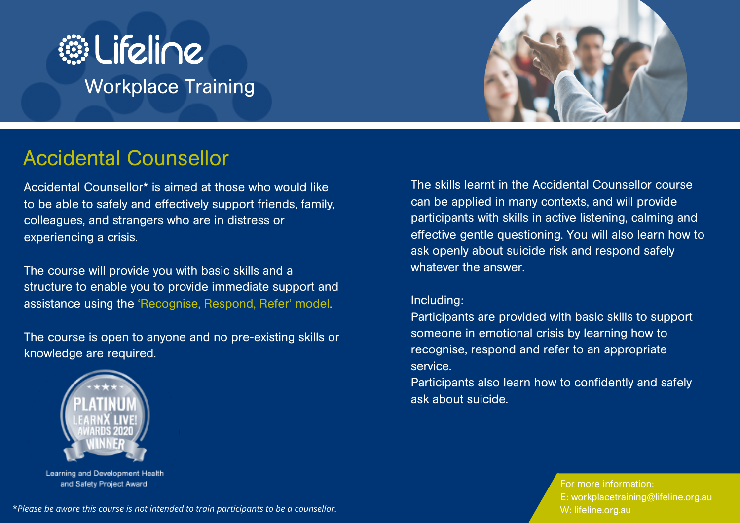



# Accidental Counsellor

Accidental Counsellor\* is aimed at those who would like to be able to safely and effectively support friends, family, colleagues, and strangers who are in distress or experiencing a crisis.

The course will provide you with basic skills and a structure to enable you to provide immediate support and assistance using the 'Recognise, Respond, Refer' model.

The course is open to anyone and no pre-existing skills or knowledge are required.



Learning and Development Health and Safety Project Award

The skills learnt in the Accidental Counsellor course can be applied in many contexts, and will provide participants with skills in active listening, calming and effective gentle questioning. You will also learn how to ask openly about suicide risk and respond safely whatever the answer.

#### Including:

Participants are provided with basic skills to support someone in emotional crisis by learning how to recognise, respond and refer to an appropriate service.

Participants also learn how to confidently and safely ask about suicide.

> For more information: E: workplacetraining@lifeline.org.au W: lifeline.org.au

\**Please be aware this course is not intended to train participants to be a counsellor.*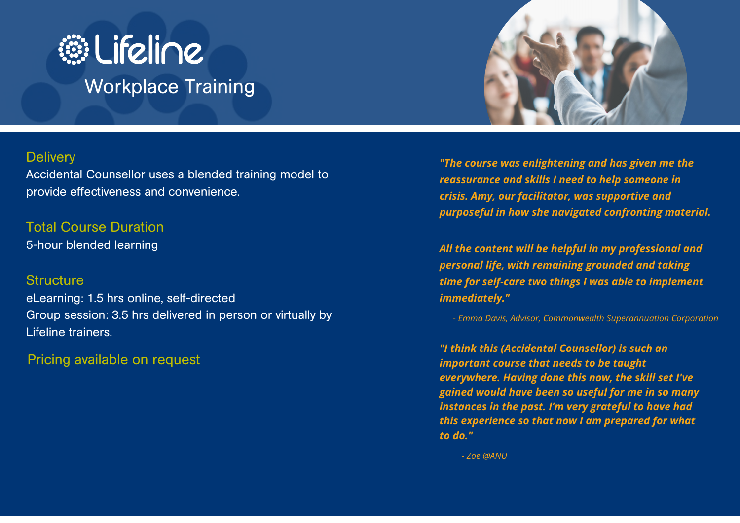



#### **Delivery**

Accidental Counsellor uses a blended training model to provide effectiveness and convenience.

Total Course Duration 5-hour blended learning

### **Structure**

eLearning: 1.5 hrs online, self-directed Group session: 3.5 hrs delivered in person or virtually by Lifeline trainers.

Pricing available on request

*"The course was enlightening and has given me the reassurance and skills I need to help someone in crisis. Amy, our facilitator, was supportive and purposeful in how she navigated confronting material.*

*All the content will be helpful in my professional and personal life, with remaining grounded and taking time for self-care two things I was able to implement immediately."*

*- Emma Davis, Advisor, Commonwealth Superannuation Corporation*

*"I think this (Accidental Counsellor) is such an important course that needs to be taught everywhere. Having done this now, the skill set I've gained would have been so useful for me in so many instances in the past. I'm very grateful to have had this experience so that now I am prepared for what to do."*

*- Zoe @ANU*